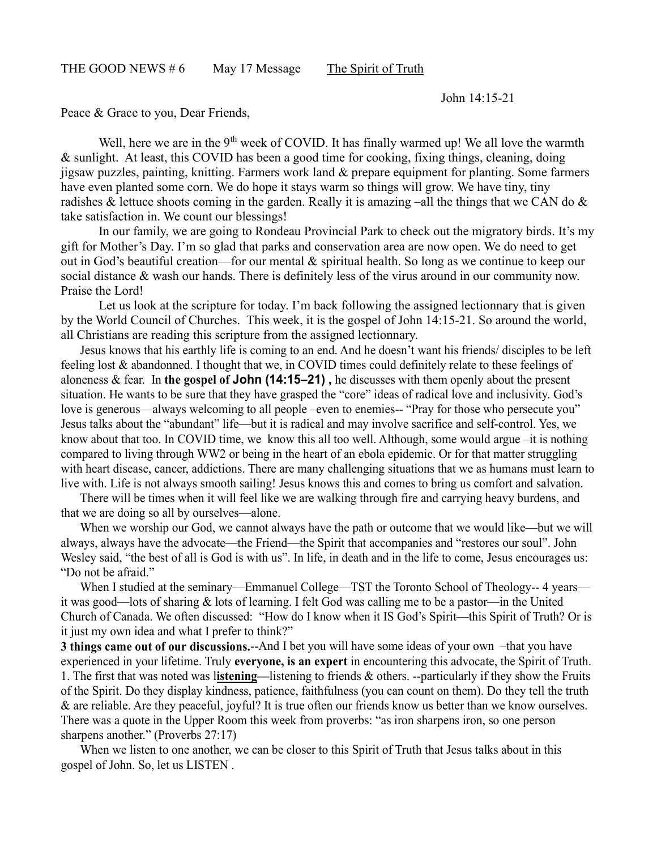John 14:15-21

Peace & Grace to you, Dear Friends,

Well, here we are in the 9<sup>th</sup> week of COVID. It has finally warmed up! We all love the warmth & sunlight. At least, this COVID has been a good time for cooking, fixing things, cleaning, doing jigsaw puzzles, painting, knitting. Farmers work land & prepare equipment for planting. Some farmers have even planted some corn. We do hope it stays warm so things will grow. We have tiny, tiny radishes & lettuce shoots coming in the garden. Really it is amazing –all the things that we CAN do  $\&$ take satisfaction in. We count our blessings!

In our family, we are going to Rondeau Provincial Park to check out the migratory birds. It's my gift for Mother's Day. I'm so glad that parks and conservation area are now open. We do need to get out in God's beautiful creation—for our mental & spiritual health. So long as we continue to keep our social distance & wash our hands. There is definitely less of the virus around in our community now. Praise the Lord!

Let us look at the scripture for today. I'm back following the assigned lectionnary that is given by the World Council of Churches. This week, it is the gospel of John 14:15-21. So around the world, all Christians are reading this scripture from the assigned lectionnary.

Jesus knows that his earthly life is coming to an end. And he doesn't want his friends/ disciples to be left feeling lost & abandonned. I thought that we, in COVID times could definitely relate to these feelings of aloneness & fear. In **the gospel of John (14:15–21) ,** he discusses with them openly about the present situation. He wants to be sure that they have grasped the "core" ideas of radical love and inclusivity. God's love is generous—always welcoming to all people –even to enemies-- "Pray for those who persecute you" Jesus talks about the "abundant" life—but it is radical and may involve sacrifice and self-control. Yes, we know about that too. In COVID time, we know this all too well. Although, some would argue –it is nothing compared to living through WW2 or being in the heart of an ebola epidemic. Or for that matter struggling with heart disease, cancer, addictions. There are many challenging situations that we as humans must learn to live with. Life is not always smooth sailing! Jesus knows this and comes to bring us comfort and salvation.

There will be times when it will feel like we are walking through fire and carrying heavy burdens, and that we are doing so all by ourselves—alone.

When we worship our God, we cannot always have the path or outcome that we would like—but we will always, always have the advocate—the Friend—the Spirit that accompanies and "restores our soul". John Wesley said, "the best of all is God is with us". In life, in death and in the life to come, Jesus encourages us: "Do not be afraid."

When I studied at the seminary—Emmanuel College—TST the Toronto School of Theology--4 years it was good—lots of sharing & lots of learning. I felt God was calling me to be a pastor—in the United Church of Canada. We often discussed: "How do I know when it IS God's Spirit—this Spirit of Truth? Or is it just my own idea and what I prefer to think?"

**3 things came out of our discussions.**--And I bet you will have some ideas of your own –that you have experienced in your lifetime. Truly **everyone, is an expert** in encountering this advocate, the Spirit of Truth. 1. The first that was noted was l**istening—**listening to friends & others. --particularly if they show the Fruits of the Spirit. Do they display kindness, patience, faithfulness (you can count on them). Do they tell the truth & are reliable. Are they peaceful, joyful? It is true often our friends know us better than we know ourselves. There was a quote in the Upper Room this week from proverbs: "as iron sharpens iron, so one person sharpens another." (Proverbs 27:17)

When we listen to one another, we can be closer to this Spirit of Truth that Jesus talks about in this gospel of John. So, let us LISTEN .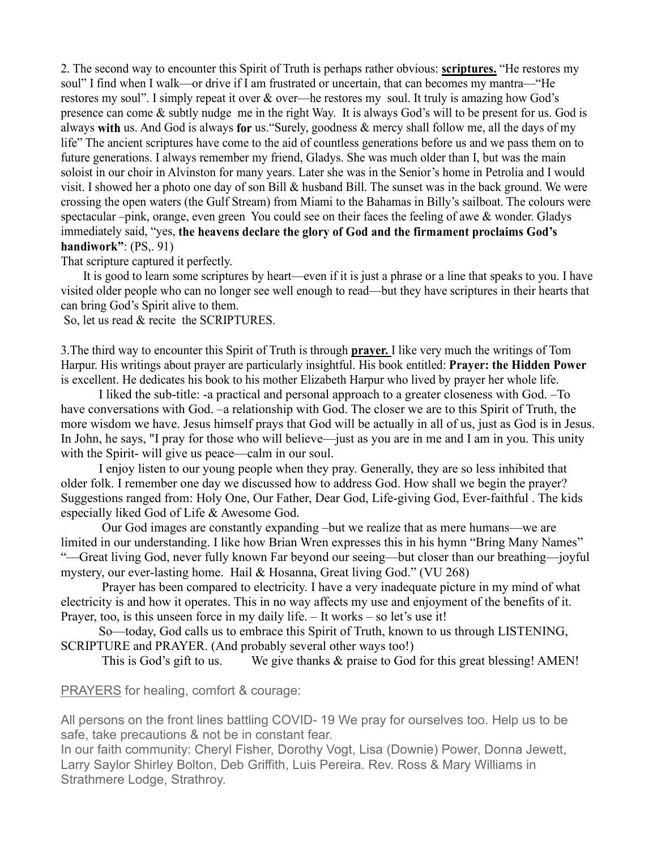2. The second way to encounter this Spirit of Truth is perhaps rather obvious: **scriptures.** "He restores my soul" I find when I walk—or drive if I am frustrated or uncertain, that can becomes my mantra—"He restores my soul". I simply repeat it over & over—he restores my soul. It truly is amazing how God's presence can come & subtly nudge me in the right Way. It is always God's will to be present for us. God is always **with** us. And God is always **for** us."Surely, goodness & mercy shall follow me, all the days of my life" The ancient scriptures have come to the aid of countless generations before us and we pass them on to future generations. I always remember my friend, Gladys. She was much older than I, but was the main soloist in our choir in Alvinston for many years. Later she was in the Senior's home in Petrolia and I would visit. I showed her a photo one day of son Bill & husband Bill. The sunset was in the back ground. We were crossing the open waters (the Gulf Stream) from Miami to the Bahamas in Billy's sailboat. The colours were spectacular –pink, orange, even green You could see on their faces the feeling of awe & wonder. Gladys immediately said, "yes, **the heavens declare the glory of God and the firmament proclaims God's handiwork"**: (PS,. 91)

## That scripture captured it perfectly.

It is good to learn some scriptures by heart—even if it is just a phrase or a line that speaks to you. I have visited older people who can no longer see well enough to read—but they have scriptures in their hearts that can bring God's Spirit alive to them.

So, let us read & recite the SCRIPTURES.

3.The third way to encounter this Spirit of Truth is through **prayer.** I like very much the writings of Tom Harpur. His writings about prayer are particularly insightful. His book entitled: **Prayer: the Hidden Power** is excellent. He dedicates his book to his mother Elizabeth Harpur who lived by prayer her whole life.

I liked the sub-title: -a practical and personal approach to a greater closeness with God. –To have conversations with God. –a relationship with God. The closer we are to this Spirit of Truth, the more wisdom we have. Jesus himself prays that God will be actually in all of us, just as God is in Jesus. In John, he says, "I pray for those who will believe—just as you are in me and I am in you. This unity with the Spirit- will give us peace—calm in our soul.

I enjoy listen to our young people when they pray. Generally, they are so less inhibited that older folk. I remember one day we discussed how to address God. How shall we begin the prayer? Suggestions ranged from: Holy One, Our Father, Dear God, Life-giving God, Ever-faithful . The kids especially liked God of Life & Awesome God.

Our God images are constantly expanding –but we realize that as mere humans—we are limited in our understanding. I like how Brian Wren expresses this in his hymn "Bring Many Names" "—Great living God, never fully known Far beyond our seeing—but closer than our breathing—joyful mystery, our ever-lasting home. Hail & Hosanna, Great living God." (VU 268)

Prayer has been compared to electricity. I have a very inadequate picture in my mind of what electricity is and how it operates. This in no way affects my use and enjoyment of the benefits of it. Prayer, too, is this unseen force in my daily life. – It works – so let's use it!

So—today, God calls us to embrace this Spirit of Truth, known to us through LISTENING, SCRIPTURE and PRAYER. (And probably several other ways too!)

This is God's gift to us. We give thanks & praise to God for this great blessing! AMEN!

PRAYERS for healing, comfort & courage:

All persons on the front lines battling COVID- 19 We pray for ourselves too. Help us to be safe, take precautions & not be in constant fear.

In our faith community: Cheryl Fisher, Dorothy Vogt, Lisa (Downie) Power, Donna Jewett, Larry Saylor Shirley Bolton, Deb Griffith, Luis Pereira. Rev. Ross & Mary Williams in Strathmere Lodge, Strathroy.